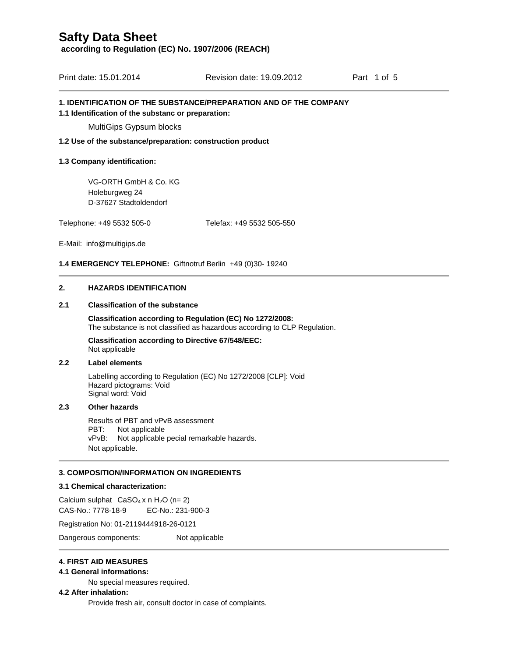**according to Regulation (EC) No. 1907/2006 (REACH)**

| Print date: 15.01.2014 | Revision date: 19.09.2012 | Part 1 of 5 |
|------------------------|---------------------------|-------------|
|                        |                           |             |

### **1. IDENTIFICATION OF THE SUBSTANCE/PREPARATION AND OF THE COMPANY**

#### **1.1 Identification of the substanc or preparation:**

MultiGips Gypsum blocks

**1.2 Use of the substance/preparation: construction product** 

### **1.3 Company identification:**

VG-ORTH GmbH & Co. KG Holeburgweg 24 D-37627 Stadtoldendorf

Telephone: +49 5532 505-0 Telefax: +49 5532 505-550

E-Mail: info@multigips.de

## **1.4 EMERGENCY TELEPHONE:** Giftnotruf Berlin +49 (0)30- 19240

## **2. HAZARDS IDENTIFICATION**

## **2.1 Classification of the substance**

**Classification according to Regulation (EC) No 1272/2008:** The substance is not classified as hazardous according to CLP Regulation.

**Classification according to Directive 67/548/EEC:**  Not applicable

## **2.2 Label elements**

Labelling according to Regulation (EC) No 1272/2008 [CLP]: Void Hazard pictograms: Void Signal word: Void

#### **2.3 Other hazards**

Results of PBT and vPvB assessment PBT: Not applicable vPvB: Not applicable pecial remarkable hazards. Not applicable.

### **3. COMPOSITION/INFORMATION ON INGREDIENTS**

#### **3.1 Chemical characterization:**

Calcium sulphat  $CaSO_4 x n H_2O (n=2)$ CAS-No.: 7778-18-9 EC-No.: 231-900-3

Registration No: 01-2119444918-26-0121

Dangerous components: Not applicable

### **4. FIRST AID MEASURES**

### **4.1 General informations:**

No special measures required.

#### **4.2 After inhalation:**

Provide fresh air, consult doctor in case of complaints.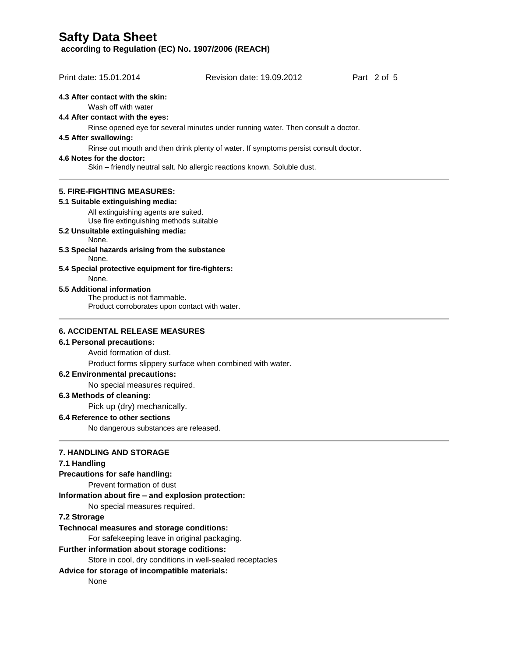**according to Regulation (EC) No. 1907/2006 (REACH)**

| Print date: 15.01.2014                                                          | Revision date: 19.09.2012                                                           | Part 2 of 5 |
|---------------------------------------------------------------------------------|-------------------------------------------------------------------------------------|-------------|
|                                                                                 |                                                                                     |             |
| 4.3 After contact with the skin:<br>Wash off with water                         |                                                                                     |             |
| 4.4 After contact with the eyes:                                                |                                                                                     |             |
|                                                                                 | Rinse opened eye for several minutes under running water. Then consult a doctor.    |             |
| 4.5 After swallowing:                                                           |                                                                                     |             |
|                                                                                 | Rinse out mouth and then drink plenty of water. If symptoms persist consult doctor. |             |
| 4.6 Notes for the doctor:                                                       |                                                                                     |             |
|                                                                                 | Skin - friendly neutral salt. No allergic reactions known. Soluble dust.            |             |
| <b>5. FIRE-FIGHTING MEASURES:</b>                                               |                                                                                     |             |
| 5.1 Suitable extinguishing media:                                               |                                                                                     |             |
| All extinguishing agents are suited.<br>Use fire extinguishing methods suitable |                                                                                     |             |
| 5.2 Unsuitable extinguishing media:<br>None.                                    |                                                                                     |             |
| 5.3 Special hazards arising from the substance<br>None.                         |                                                                                     |             |
| 5.4 Special protective equipment for fire-fighters:<br>None.                    |                                                                                     |             |
| 5.5 Additional information                                                      |                                                                                     |             |
| The product is not flammable.                                                   |                                                                                     |             |
| Product corroborates upon contact with water.                                   |                                                                                     |             |
| <b>6. ACCIDENTAL RELEASE MEASURES</b>                                           |                                                                                     |             |
| 6.1 Personal precautions:                                                       |                                                                                     |             |
| Avoid formation of dust.                                                        |                                                                                     |             |
|                                                                                 | Product forms slippery surface when combined with water.                            |             |
| 6.2 Environmental precautions:                                                  |                                                                                     |             |
| No special measures required.                                                   |                                                                                     |             |
| 6.3 Methods of cleaning:                                                        |                                                                                     |             |
| Pick up (dry) mechanically.                                                     |                                                                                     |             |
| 6.4 Reference to other sections                                                 |                                                                                     |             |
| No dangerous substances are released.                                           |                                                                                     |             |
| <b>7. HANDLING AND STORAGE</b>                                                  |                                                                                     |             |
| 7.1 Handling                                                                    |                                                                                     |             |
| Precautions for safe handling:                                                  |                                                                                     |             |
| Prevent formation of dust                                                       |                                                                                     |             |

**Information about fire – and explosion protection:**

No special measures required.

## **7.2 Strorage**

## **Technocal measures and storage conditions:**

For safekeeping leave in original packaging.

## **Further information about storage coditions:**

Store in cool, dry conditions in well-sealed receptacles

## **Advice for storage of incompatible materials:**

None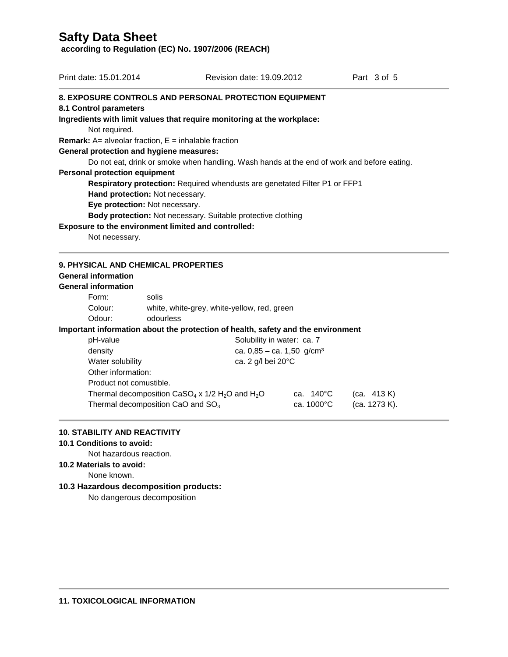**according to Regulation (EC) No. 1907/2006 (REACH)**

| Print date: 15.01.2014                                        |                                 | Revision date: 19.09.2012                                                                  | Part 3 of 5 |
|---------------------------------------------------------------|---------------------------------|--------------------------------------------------------------------------------------------|-------------|
|                                                               |                                 | <b>8. EXPOSURE CONTROLS AND PERSONAL PROTECTION EQUIPMENT</b>                              |             |
| 8.1 Control parameters                                        |                                 |                                                                                            |             |
|                                                               |                                 | Ingredients with limit values that require monitoring at the workplace:                    |             |
| Not required.                                                 |                                 |                                                                                            |             |
| <b>Remark:</b> A= alveolar fraction, $E =$ inhalable fraction |                                 |                                                                                            |             |
| General protection and hygiene measures:                      |                                 |                                                                                            |             |
|                                                               |                                 | Do not eat, drink or smoke when handling. Wash hands at the end of work and before eating. |             |
| <b>Personal protection equipment</b>                          |                                 |                                                                                            |             |
|                                                               |                                 | Respiratory protection: Required whendusts are genetated Filter P1 or FFP1                 |             |
|                                                               | Hand protection: Not necessary. |                                                                                            |             |
|                                                               | Eye protection: Not necessary.  |                                                                                            |             |
|                                                               |                                 | Body protection: Not necessary. Suitable protective clothing                               |             |
| Exposure to the environment limited and controlled:           |                                 |                                                                                            |             |
| Not necessary.                                                |                                 |                                                                                            |             |
| <b>9. PHYSICAL AND CHEMICAL PROPERTIES</b>                    |                                 |                                                                                            |             |
| <b>General information</b>                                    |                                 |                                                                                            |             |
| <b>General information</b>                                    |                                 |                                                                                            |             |
| Form:                                                         | solis                           |                                                                                            |             |
| Colour:                                                       |                                 | white, white-grey, white-yellow, red, green                                                |             |
| Odour:                                                        | odourless                       |                                                                                            |             |
|                                                               |                                 | Important information about the protection of health, safety and the environment           |             |
| pH-value                                                      |                                 | Solubility in water: ca. 7                                                                 |             |
| والمقالم مراجاتها                                             |                                 | $\sim$ 005 $\sim$ 450 $\sim$ /2 $\sim$ 3                                                   |             |

| pH-value         | Solubility in water: ca. 7            |
|------------------|---------------------------------------|
| density          | ca. 0,85 – ca. 1,50 g/cm <sup>3</sup> |
| Water solubility | ca. 2 g/l bei 20 $^{\circ}$ C         |

| Other information:                                                        |            |               |
|---------------------------------------------------------------------------|------------|---------------|
|                                                                           |            |               |
| Product not comustible.                                                   |            |               |
| Thermal decomposition $CaSO4$ x 1/2 H <sub>2</sub> O and H <sub>2</sub> O | ca. 140°C  | (ca. 413 K)   |
| Thermal decomposition CaO and $SO3$                                       | ca. 1000°C | (ca. 1273 K). |
|                                                                           |            |               |

## **10. STABILITY AND REACTIVITY**

**10.1 Conditions to avoid:**

Not hazardous reaction.

**10.2 Materials to avoid:**

None known.

## **10.3 Hazardous decomposition products:**

No dangerous decomposition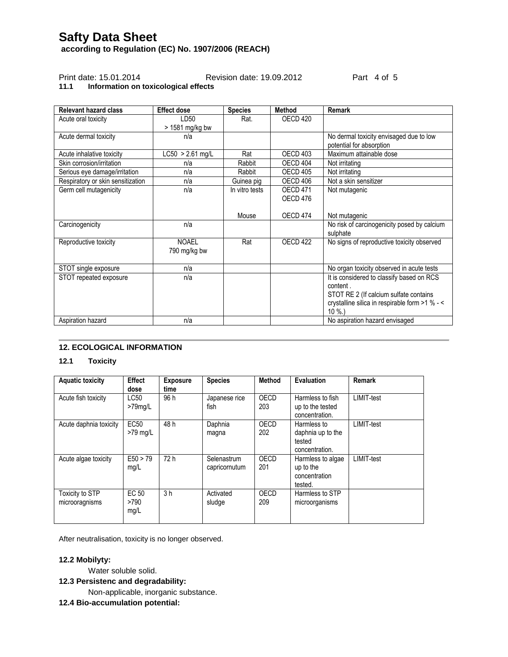**according to Regulation (EC) No. 1907/2006 (REACH)**

## Print date: 15.01.2014 Revision date: 19.09.2012 Part 4 of 5

## **11.1 Information on toxicological effects**

| <b>Relevant hazard class</b>      | <b>Effect dose</b> | <b>Species</b> | <b>Method</b>       | Remark                                         |
|-----------------------------------|--------------------|----------------|---------------------|------------------------------------------------|
| Acute oral toxicity               | LD50               | Rat.           | OECD <sub>420</sub> |                                                |
|                                   | > 1581 mg/kg bw    |                |                     |                                                |
| Acute dermal toxicity             | n/a                |                |                     | No dermal toxicity envisaged due to low        |
|                                   |                    |                |                     | potential for absorption                       |
| Acute inhalative toxicity         | $LC50 > 2.61$ mg/L | Rat            | OECD <sub>403</sub> | Maximum attainable dose                        |
| Skin corrosion/irritation         | n/a                | Rabbit         | OECD 404            | Not irritating                                 |
| Serious eye damage/irritation     | n/a                | Rabbit         | <b>OECD 405</b>     | Not irritating                                 |
| Respiratory or skin sensitization | n/a                | Guinea pig     | OECD 406            | Not a skin sensitizer                          |
| Germ cell mutagenicity            | n/a                | In vitro tests | OECD <sub>471</sub> | Not mutagenic                                  |
|                                   |                    |                | OECD 476            |                                                |
|                                   |                    |                |                     |                                                |
|                                   |                    | Mouse          | OECD 474            | Not mutagenic                                  |
| Carcinogenicity                   | n/a                |                |                     | No risk of carcinogenicity posed by calcium    |
|                                   |                    |                |                     | sulphate                                       |
| Reproductive toxicity             | <b>NOAEL</b>       | Rat            | OECD <sub>422</sub> | No signs of reproductive toxicity observed     |
|                                   | 790 mg/kg bw       |                |                     |                                                |
|                                   |                    |                |                     |                                                |
| STOT single exposure              | n/a                |                |                     | No organ toxicity observed in acute tests      |
| STOT repeated exposure            | n/a                |                |                     | It is considered to classify based on RCS      |
|                                   |                    |                |                     | content.                                       |
|                                   |                    |                |                     | STOT RE 2 (If calcium sulfate contains         |
|                                   |                    |                |                     | crystalline silica in respirable form >1 % - < |
|                                   |                    |                |                     | $10 \%$ .                                      |
| Aspiration hazard                 | n/a                |                |                     | No aspiration hazard envisaged                 |

## **12. ECOLOGICAL INFORMATION**

## **12.1 Toxicity**

| <b>Aquatic toxicity</b>                  | <b>Effect</b><br>dose     | <b>Exposure</b><br>time | <b>Species</b>               | Method      | <b>Evaluation</b>                                            | <b>Remark</b>     |
|------------------------------------------|---------------------------|-------------------------|------------------------------|-------------|--------------------------------------------------------------|-------------------|
| Acute fish toxicity                      | LC50<br>>79mg/L           | 96 h                    | Japanese rice<br>fish        | OECD<br>203 | Harmless to fish<br>up to the tested<br>concentration.       | <b>LIMIT-test</b> |
| Acute daphnia toxicity                   | <b>EC50</b><br>$>79$ mg/L | 48 h                    | Daphnia<br>magna             | OECD<br>202 | Harmless to<br>daphnia up to the<br>tested<br>concentration. | LIMIT-test        |
| Acute algae toxicity                     | E50 > 79<br>mg/L          | 72 h                    | Selenastrum<br>capricornutum | OECD<br>201 | Harmless to algae<br>up to the<br>concentration<br>tested.   | LIMIT-test        |
| <b>Toxicity to STP</b><br>microoragnisms | EC 50<br>>790<br>mg/L     | 3 <sub>h</sub>          | Activated<br>sludge          | OECD<br>209 | Harmless to STP<br>microorganisms                            |                   |

After neutralisation, toxicity is no longer observed.

## **12.2 Mobilyty:**

Water soluble solid.

**12.3 Persistenc and degradability:**

Non-applicable, inorganic substance.

**12.4 Bio-accumulation potential:**